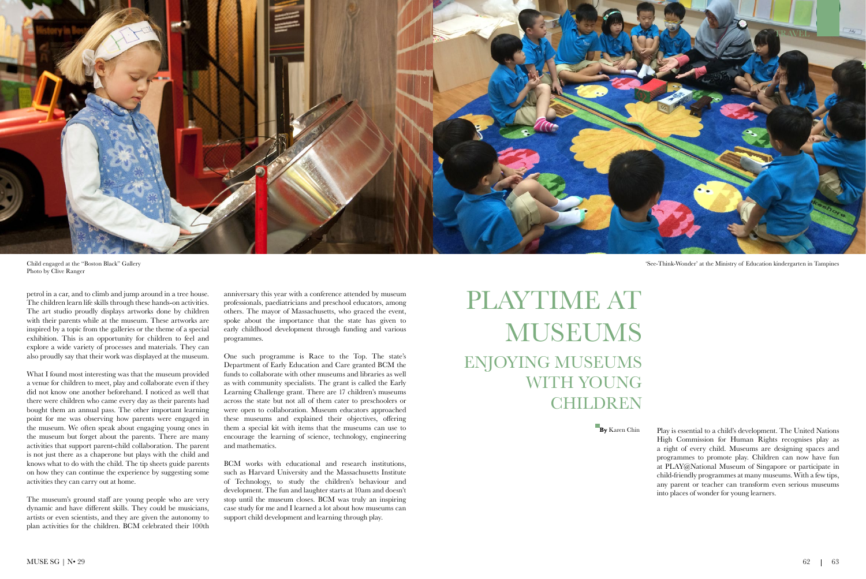

'See-Think-Wonder' at the Ministry of Education kindergarten in Tampines

# PLAYTIME AT MUSEUMS ENJOYING MUSEUMS WITH YOUNG CHILDREN

**By** Karen Chin Play is essential to a child's development. The United Nations High Commission for Human Rights recognises play as a right of every child. Museums are designing spaces and programmes to promote play. Children can now have fun at PLAY@National Museum of Singapore or participate in child-friendly programmes at many museums. With a few tips, any parent or teacher can transform even serious museums into places of wonder for young learners.